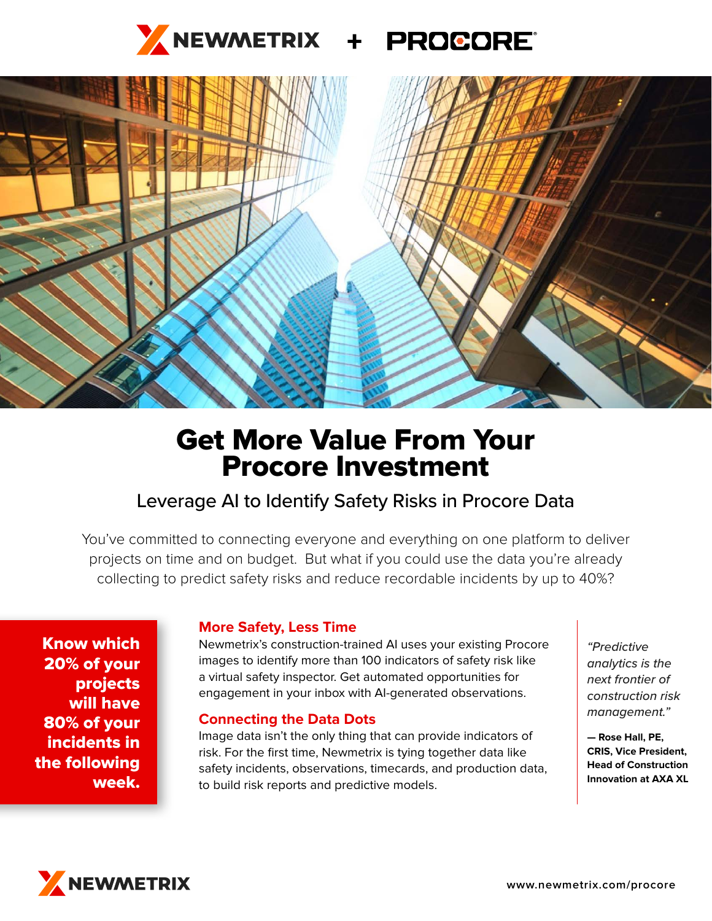



# Get More Value From Your Procore Investment

## Leverage AI to Identify Safety Risks in Procore Data

You've committed to connecting everyone and everything on one platform to deliver projects on time and on budget. But what if you could use the data you're already collecting to predict safety risks and reduce recordable incidents by up to 40%?

Know which 20% of your projects will have 80% of your incidents in the following week.

### **More Safety, Less Time**

Newmetrix's construction-trained AI uses your existing Procore images to identify more than 100 indicators of safety risk like a virtual safety inspector. Get automated opportunities for engagement in your inbox with AI-generated observations.

#### **Connecting the Data Dots**

Image data isn't the only thing that can provide indicators of risk. For the first time, Newmetrix is tying together data like safety incidents, observations, timecards, and production data, to build risk reports and predictive models.

*"Predictive analytics is the next frontier of construction risk management."*

**— Rose Hall, PE, CRIS, Vice President, Head of Construction Innovation at AXA XL**